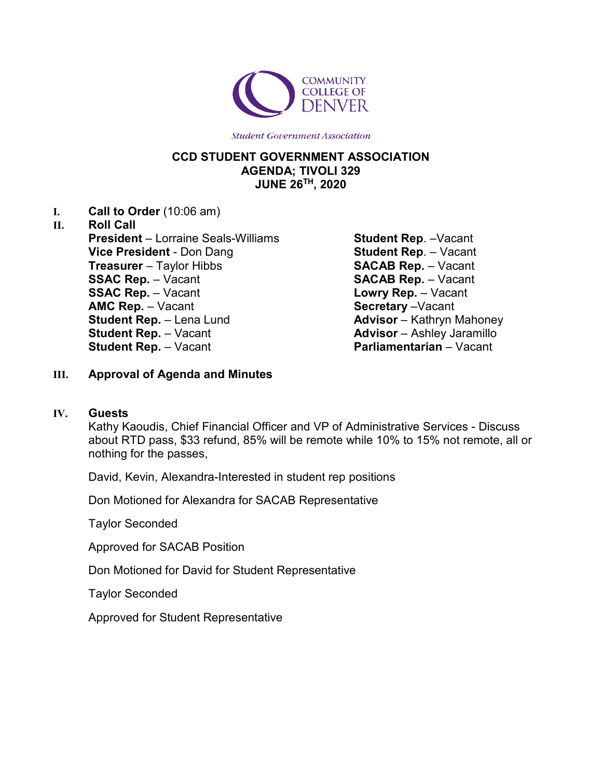

## **CCD STUDENT GOVERNMENT ASSOCIATION AGENDA; TIVOLI 329 JUNE 26TH, 2020**

**I. Call to Order** (10:06 am)

# **II. Roll Call President** – Lorraine Seals-Williams **Vice President** - Don Dang **Treasurer** – Taylor Hibbs **SSAC Rep.** – Vacant **SSAC Rep.** – Vacant **AMC Rep.** – Vacant **Student Rep.** – Lena Lund **Student Rep.** – Vacant **Student Rep.** – Vacant

**Student Rep**. –Vacant **Student Rep**. – Vacant **SACAB Rep.** – Vacant **SACAB Rep.** – Vacant **Lowry Rep.** – Vacant **Secretary** –Vacant **Advisor** – Kathryn Mahoney **Advisor** – Ashley Jaramillo **Parliamentarian** – Vacant

# **III. Approval of Agenda and Minutes**

## **IV. Guests**

Kathy Kaoudis, Chief Financial Officer and VP of Administrative Services - Discuss about RTD pass, \$33 refund, 85% will be remote while 10% to 15% not remote, all or nothing for the passes,

David, Kevin, Alexandra-Interested in student rep positions

Don Motioned for Alexandra for SACAB Representative

Taylor Seconded

Approved for SACAB Position

Don Motioned for David for Student Representative

Taylor Seconded

Approved for Student Representative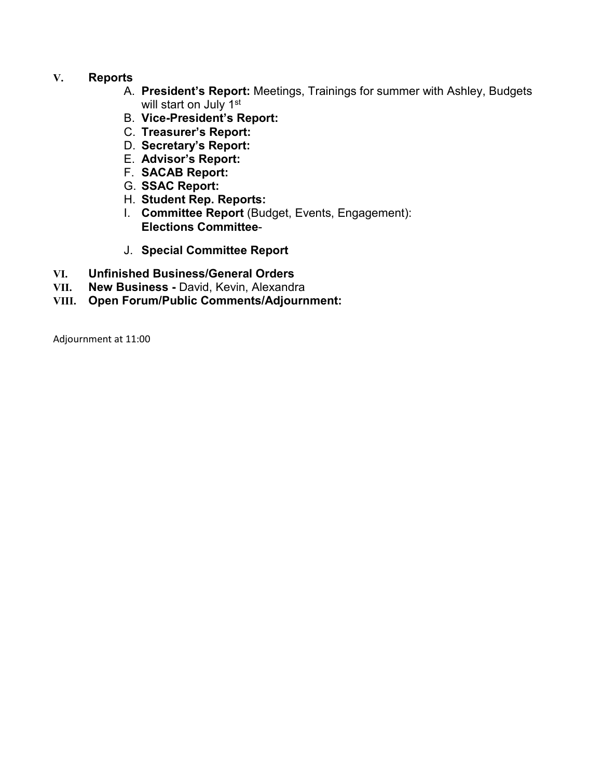## **V. Reports**

- A. **President's Report:** Meetings, Trainings for summer with Ashley, Budgets will start on July 1<sup>st</sup>
- B. **Vice-President's Report:**
- C. **Treasurer's Report:**
- D. **Secretary's Report:**
- E. **Advisor's Report:**
- F. **SACAB Report:**
- G. **SSAC Report:**
- H. **Student Rep. Reports:**
- I. **Committee Report** (Budget, Events, Engagement): **Elections Committee**-
- J. **Special Committee Report**
- **VI. Unfinished Business/General Orders**
- **VII. New Business -** David, Kevin, Alexandra
- **VIII. Open Forum/Public Comments/Adjournment:**

Adjournment at 11:00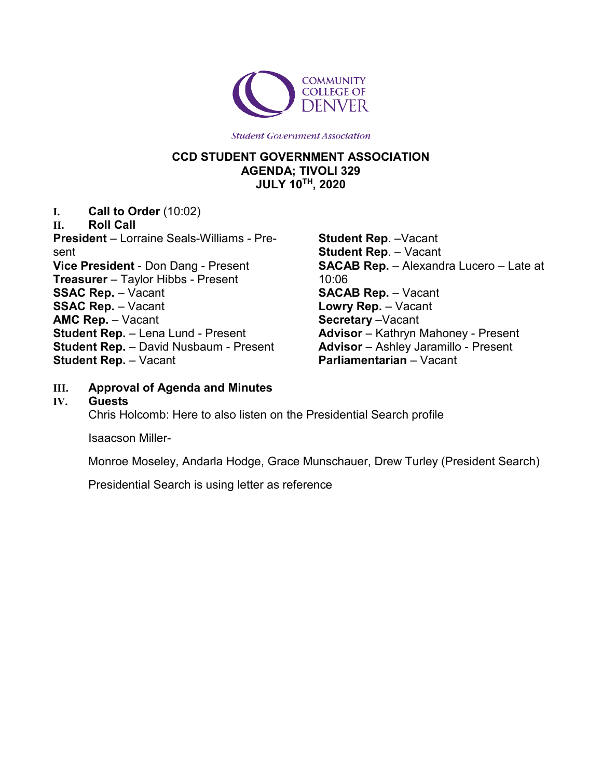

# **CCD STUDENT GOVERNMENT ASSOCIATION AGENDA; TIVOLI 329 JULY 10TH, 2020**

**I. Call to Order** (10:02)

**II. Roll Call President** – Lorraine Seals-Williams - Present **Vice President** - Don Dang - Present **Treasurer** – Taylor Hibbs - Present **SSAC Rep.** – Vacant **SSAC Rep.** – Vacant **AMC Rep.** – Vacant **Student Rep.** – Lena Lund - Present **Student Rep.** – David Nusbaum - Present **Student Rep.** – Vacant

**Student Rep**. –Vacant **Student Rep**. – Vacant **SACAB Rep.** – Alexandra Lucero – Late at 10:06 **SACAB Rep.** – Vacant **Lowry Rep.** – Vacant **Secretary** –Vacant **Advisor** – Kathryn Mahoney - Present **Advisor** – Ashley Jaramillo - Present **Parliamentarian** – Vacant

- **III. Approval of Agenda and Minutes**
- **IV. Guests**

Chris Holcomb: Here to also listen on the Presidential Search profile

Isaacson Miller-

Monroe Moseley, Andarla Hodge, Grace Munschauer, Drew Turley (President Search)

Presidential Search is using letter as reference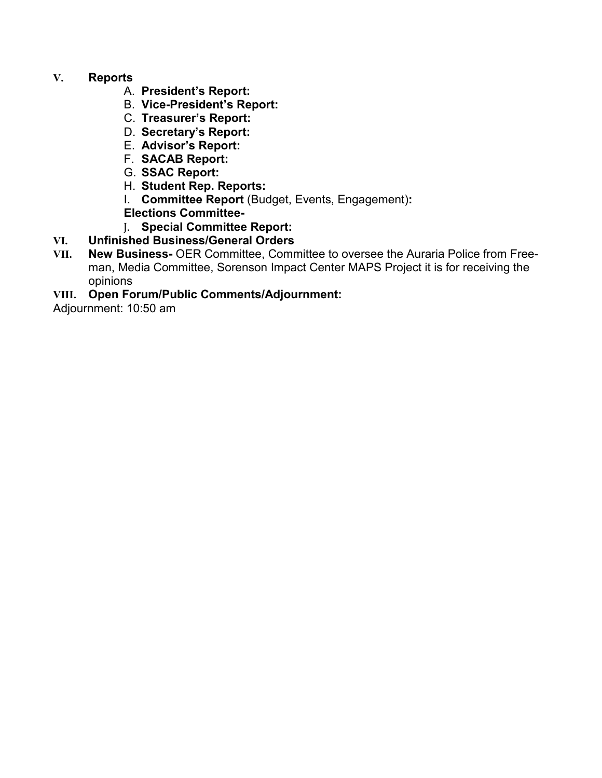# **V. Reports**

- A. **President's Report:**
- B. **Vice-President's Report:**
- C. **Treasurer's Report:**
- D. **Secretary's Report:**
- E. **Advisor's Report:**
- F. **SACAB Report:**
- G. **SSAC Report:**
- H. **Student Rep. Reports:**
- I. **Committee Report** (Budget, Events, Engagement)**:**
- **Elections Committee-**
- J. **Special Committee Report:**
- **VI. Unfinished Business/General Orders**
- **New Business-** OER Committee, Committee to oversee the Auraria Police from Freeman, Media Committee, Sorenson Impact Center MAPS Project it is for receiving the opinions
- **VIII. Open Forum/Public Comments/Adjournment:**

Adjournment: 10:50 am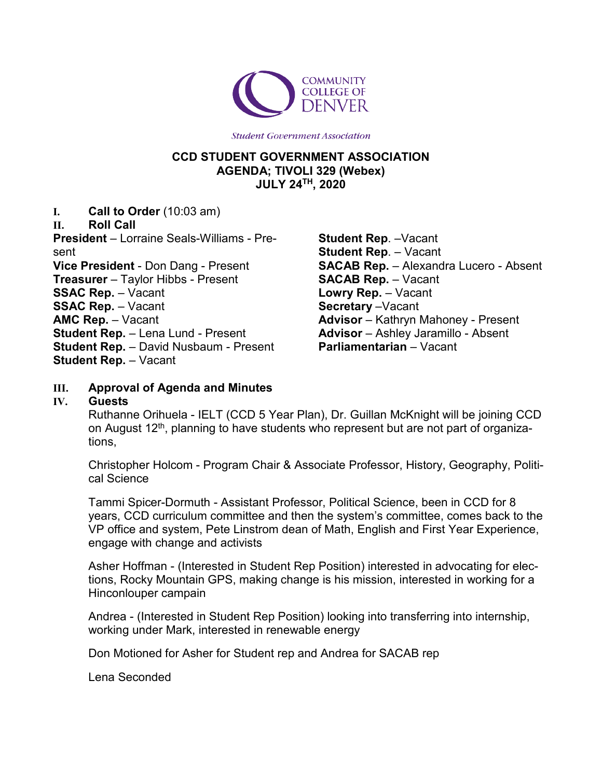

## **CCD STUDENT GOVERNMENT ASSOCIATION AGENDA; TIVOLI 329 (Webex) JULY 24TH, 2020**

**I. Call to Order** (10:03 am)

**II. Roll Call**

**President** – Lorraine Seals-Williams - Present **Vice President** - Don Dang - Present **Treasurer** – Taylor Hibbs - Present **SSAC Rep.** – Vacant **SSAC Rep.** – Vacant **AMC Rep.** – Vacant **Student Rep.** – Lena Lund - Present **Student Rep.** – David Nusbaum - Present **Student Rep.** – Vacant

**Student Rep**. –Vacant **Student Rep**. – Vacant **SACAB Rep.** – Alexandra Lucero - Absent **SACAB Rep.** – Vacant **Lowry Rep.** – Vacant **Secretary** –Vacant **Advisor** – Kathryn Mahoney - Present **Advisor** – Ashley Jaramillo - Absent **Parliamentarian** – Vacant

# **III. Approval of Agenda and Minutes**

#### **IV. Guests**

Ruthanne Orihuela - IELT (CCD 5 Year Plan), Dr. Guillan McKnight will be joining CCD on August 12<sup>th</sup>, planning to have students who represent but are not part of organizations,

Christopher Holcom - Program Chair & Associate Professor, History, Geography, Political Science

Tammi Spicer-Dormuth - Assistant Professor, Political Science, been in CCD for 8 years, CCD curriculum committee and then the system's committee, comes back to the VP office and system, Pete Linstrom dean of Math, English and First Year Experience, engage with change and activists

Asher Hoffman - (Interested in Student Rep Position) interested in advocating for elections, Rocky Mountain GPS, making change is his mission, interested in working for a Hinconlouper campain

Andrea - (Interested in Student Rep Position) looking into transferring into internship, working under Mark, interested in renewable energy

Don Motioned for Asher for Student rep and Andrea for SACAB rep

Lena Seconded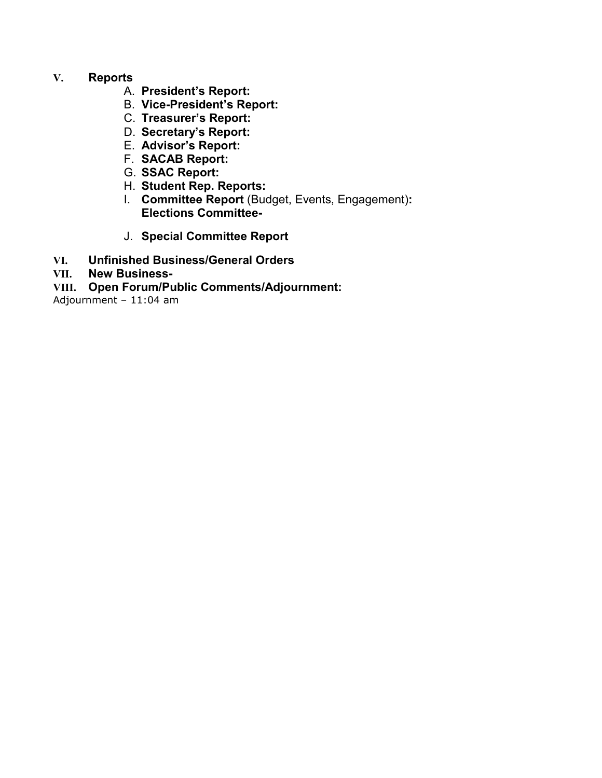## **V. Reports**

- A. **President's Report:**
- B. **Vice-President's Report:**
- C. **Treasurer's Report:**
- D. **Secretary's Report:**
- E. **Advisor's Report:**
- F. **SACAB Report:**
- G. **SSAC Report:**
- H. **Student Rep. Reports:**
- I. **Committee Report** (Budget, Events, Engagement)**: Elections Committee-**
- J. **Special Committee Report**
- **VI. Unfinished Business/General Orders**
- **VII. New Business-**
- **VIII. Open Forum/Public Comments/Adjournment:**

Adjournment – 11:04 am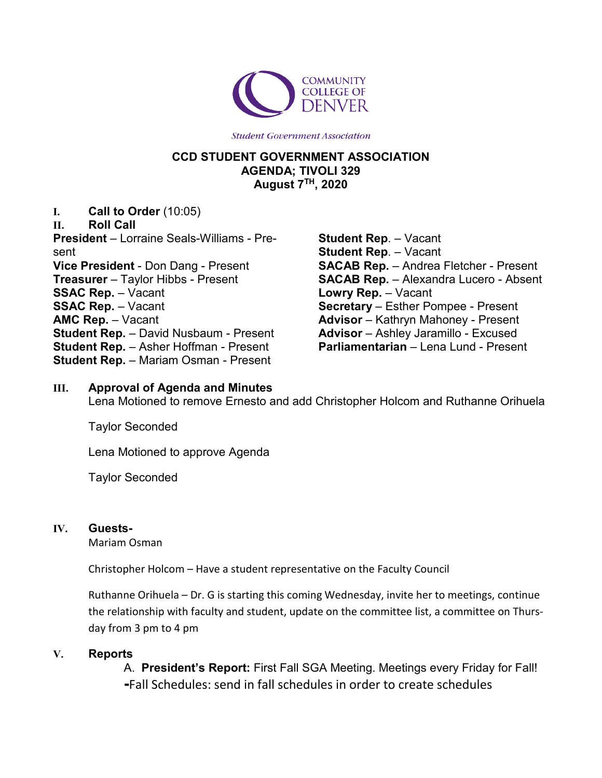

# **CCD STUDENT GOVERNMENT ASSOCIATION AGENDA; TIVOLI 329 August 7TH, 2020**

**I. Call to Order** (10:05)

**II. Roll Call President** – Lorraine Seals-Williams - Present **Vice President** - Don Dang - Present **Treasurer** – Taylor Hibbs - Present **SSAC Rep.** – Vacant **SSAC Rep.** – Vacant **AMC Rep.** – Vacant **Student Rep.** – David Nusbaum - Present **Student Rep.** – Asher Hoffman - Present **Student Rep.** – Mariam Osman - Present

**Student Rep**. – Vacant **Student Rep**. – Vacant **SACAB Rep.** – Andrea Fletcher - Present **SACAB Rep.** – Alexandra Lucero - Absent **Lowry Rep.** – Vacant **Secretary** – Esther Pompee - Present **Advisor** – Kathryn Mahoney - Present **Advisor** – Ashley Jaramillo - Excused **Parliamentarian** – Lena Lund - Present

## **III. Approval of Agenda and Minutes**

Lena Motioned to remove Ernesto and add Christopher Holcom and Ruthanne Orihuela

Taylor Seconded

Lena Motioned to approve Agenda

Taylor Seconded

## **IV. Guests-**

Mariam Osman

Christopher Holcom – Have a student representative on the Faculty Council

Ruthanne Orihuela – Dr. G is starting this coming Wednesday, invite her to meetings, continue the relationship with faculty and student, update on the committee list, a committee on Thursday from 3 pm to 4 pm

## **V. Reports**

A. **President's Report:** First Fall SGA Meeting. Meetings every Friday for Fall! **-**Fall Schedules: send in fall schedules in order to create schedules